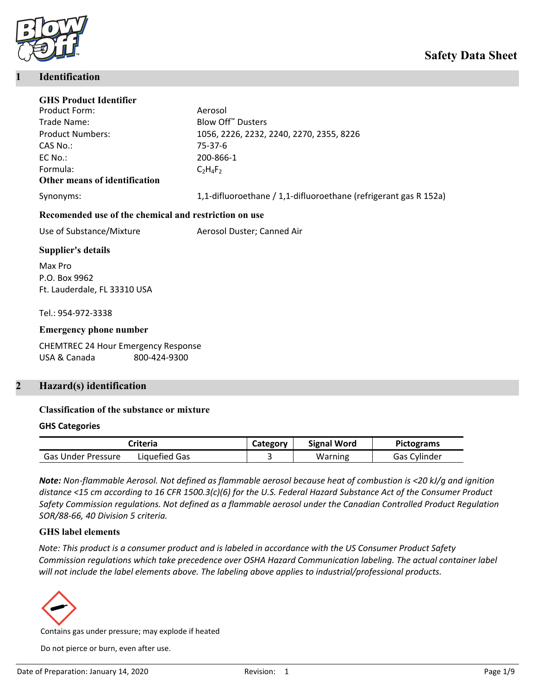

#### **1 Identification**

| <b>GHS Product Identifier</b>                         |                                                                  |
|-------------------------------------------------------|------------------------------------------------------------------|
| Product Form:                                         | Aerosol                                                          |
| Trade Name:                                           | Blow Off <sup>™</sup> Dusters                                    |
| <b>Product Numbers:</b>                               | 1056, 2226, 2232, 2240, 2270, 2355, 8226                         |
| CAS No.:                                              | 75-37-6                                                          |
| EC No.:                                               | 200-866-1                                                        |
| Formula:                                              | $C_2H_4F_2$                                                      |
| Other means of identification                         |                                                                  |
| Synonyms:                                             | 1,1-difluoroethane / 1,1-difluoroethane (refrigerant gas R 152a) |
| Recomended use of the chemical and restriction on use |                                                                  |
| Use of Substance/Mixture                              | Aerosol Duster; Canned Air                                       |
| <b>Supplier's details</b>                             |                                                                  |
| Max Pro                                               |                                                                  |
| P.O. Box 9962                                         |                                                                  |
| Ft. Lauderdale, FL 33310 USA                          |                                                                  |
|                                                       |                                                                  |
| Tel.: 954-972-3338                                    |                                                                  |
| <b>Emergency phone number</b>                         |                                                                  |
|                                                       |                                                                  |

CHEMTREC 24 Hour Emergency Response USA & Canada 800-424-9300

# **2 Hazard(s) identification**

#### **Classification of the substance or mixture**

#### **GHS Categories**

| Criteria                  |               | Category | <b>Signal Word</b> | <b>Pictograms</b>   |
|---------------------------|---------------|----------|--------------------|---------------------|
| <b>Gas Under Pressure</b> | Liauefied Gas |          | Warning            | <b>Gas Cylinder</b> |

*Note: Non-flammable Aerosol. Not defined as flammable aerosol because heat of combustion is <20 kJ/g and ignition distance <15 cm according to 16 CFR 1500.3(c)(6) for the U.S. Federal Hazard Substance Act of the Consumer Product Safety Commission regulations. Not defined as a flammable aerosol under the Canadian Controlled Product Regulation SOR/88-66, 40 Division 5 criteria.*

#### **GHS label elements**

*Note: This product is a consumer product and is labeled in accordance with the US Consumer Product Safety Commission regulations which take precedence over OSHA Hazard Communication labeling. The actual container label will not include the label elements above. The labeling above applies to industrial/professional products.*



Contains gas under pressure; may explode if heated

Do not pierce or burn, even after use.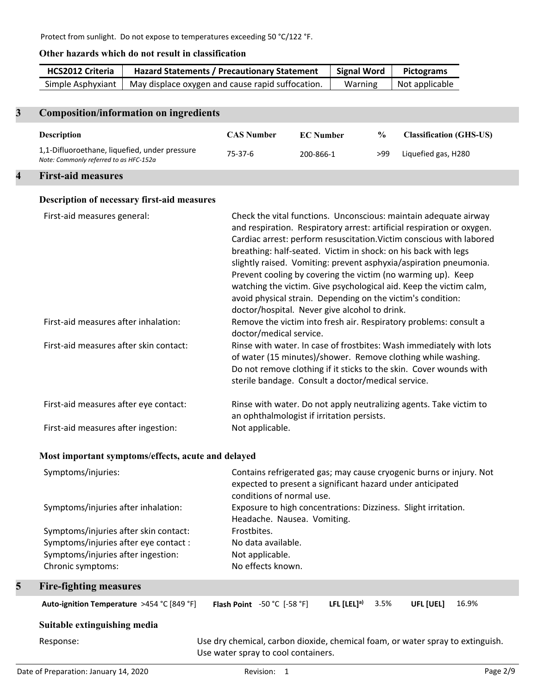# **Other hazards which do not result in classification**

| <b>HCS2012 Criteria</b> | <b>Hazard Statements / Precautionary Statement</b> | Signal Word | <b>Pictograms</b> |
|-------------------------|----------------------------------------------------|-------------|-------------------|
| Simple Asphyxiant       | May displace oxygen and cause rapid suffocation.   | Warning     | Not applicable    |
|                         |                                                    |             |                   |

# **3 Composition/information on ingredients**

| <b>Description</b>                                                                      | <b>CAS Number</b> | <b>EC</b> Number | $\frac{6}{9}$ | <b>Classification (GHS-US)</b> |
|-----------------------------------------------------------------------------------------|-------------------|------------------|---------------|--------------------------------|
| 1,1-Difluoroethane, liquefied, under pressure<br>Note: Commonly referred to as HFC-152a | 75-37-6           | 200-866-1        | >99           | Liquefied gas, H280            |
|                                                                                         |                   |                  |               |                                |

# **4 First-aid measures**

# **Description of necessary first-aid measures**

| First-aid measures general:            | Check the vital functions. Unconscious: maintain adequate airway<br>and respiration. Respiratory arrest: artificial respiration or oxygen.<br>Cardiac arrest: perform resuscitation. Victim conscious with labored<br>breathing: half-seated. Victim in shock: on his back with legs<br>slightly raised. Vomiting: prevent asphyxia/aspiration pneumonia.<br>Prevent cooling by covering the victim (no warming up). Keep<br>watching the victim. Give psychological aid. Keep the victim calm,<br>avoid physical strain. Depending on the victim's condition:<br>doctor/hospital. Never give alcohol to drink. |
|----------------------------------------|-----------------------------------------------------------------------------------------------------------------------------------------------------------------------------------------------------------------------------------------------------------------------------------------------------------------------------------------------------------------------------------------------------------------------------------------------------------------------------------------------------------------------------------------------------------------------------------------------------------------|
| First-aid measures after inhalation:   | Remove the victim into fresh air. Respiratory problems: consult a<br>doctor/medical service.                                                                                                                                                                                                                                                                                                                                                                                                                                                                                                                    |
| First-aid measures after skin contact: | Rinse with water. In case of frostbites: Wash immediately with lots<br>of water (15 minutes)/shower. Remove clothing while washing.<br>Do not remove clothing if it sticks to the skin. Cover wounds with<br>sterile bandage. Consult a doctor/medical service.                                                                                                                                                                                                                                                                                                                                                 |
| First-aid measures after eye contact:  | Rinse with water. Do not apply neutralizing agents. Take victim to<br>an ophthalmologist if irritation persists.                                                                                                                                                                                                                                                                                                                                                                                                                                                                                                |
| First-aid measures after ingestion:    | Not applicable.                                                                                                                                                                                                                                                                                                                                                                                                                                                                                                                                                                                                 |

## **Most important symptoms/effects, acute and delayed**

|   | Symptoms/injuries:                         | Contains refrigerated gas; may cause cryogenic burns or injury. Not<br>expected to present a significant hazard under anticipated<br>conditions of normal use. |                  |      |           |       |
|---|--------------------------------------------|----------------------------------------------------------------------------------------------------------------------------------------------------------------|------------------|------|-----------|-------|
|   | Symptoms/injuries after inhalation:        | Exposure to high concentrations: Dizziness. Slight irritation.<br>Headache. Nausea. Vomiting.                                                                  |                  |      |           |       |
|   | Symptoms/injuries after skin contact:      | Frostbites.                                                                                                                                                    |                  |      |           |       |
|   | Symptoms/injuries after eye contact :      | No data available.                                                                                                                                             |                  |      |           |       |
|   | Symptoms/injuries after ingestion:         | Not applicable.                                                                                                                                                |                  |      |           |       |
|   | Chronic symptoms:                          | No effects known.                                                                                                                                              |                  |      |           |       |
| 5 | <b>Fire-fighting measures</b>              |                                                                                                                                                                |                  |      |           |       |
|   | Auto-ignition Temperature >454 °C [849 °F] | <b>Flash Point</b> $-50$ °C $[-58$ °F]                                                                                                                         | LFL $[LEL]^{a)}$ | 3.5% | UFL [UEL] | 16.9% |
|   | Suitable extinguishing media               |                                                                                                                                                                |                  |      |           |       |

# Response: Use dry chemical, carbon dioxide, chemical foam, or water spray to extinguish. Use water spray to cool containers.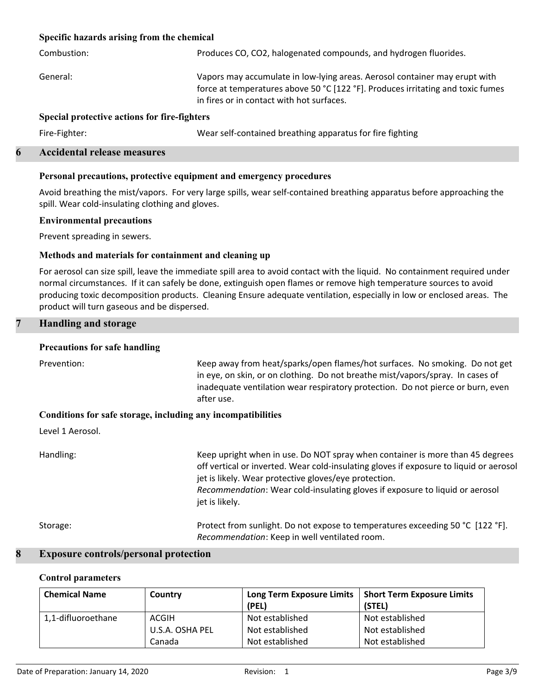#### **Specific hazards arising from the chemical**

| Combustion:                                  | Produces CO, CO2, halogenated compounds, and hydrogen fluorides.                                                                                                                                           |  |  |  |
|----------------------------------------------|------------------------------------------------------------------------------------------------------------------------------------------------------------------------------------------------------------|--|--|--|
| General:                                     | Vapors may accumulate in low-lying areas. Aerosol container may erupt with<br>force at temperatures above 50 °C [122 °F]. Produces irritating and toxic fumes<br>in fires or in contact with hot surfaces. |  |  |  |
| Special protective actions for fire-fighters |                                                                                                                                                                                                            |  |  |  |
| Fire-Fighter:                                | Wear self-contained breathing apparatus for fire fighting                                                                                                                                                  |  |  |  |

#### **6 Accidental release measures**

#### **Personal precautions, protective equipment and emergency procedures**

Avoid breathing the mist/vapors. For very large spills, wear self-contained breathing apparatus before approaching the spill. Wear cold-insulating clothing and gloves.

#### **Environmental precautions**

Prevent spreading in sewers.

#### **Methods and materials for containment and cleaning up**

For aerosol can size spill, leave the immediate spill area to avoid contact with the liquid. No containment required under normal circumstances. If it can safely be done, extinguish open flames or remove high temperature sources to avoid producing toxic decomposition products. Cleaning Ensure adequate ventilation, especially in low or enclosed areas. The product will turn gaseous and be dispersed.

#### **7 Handling and storage**

#### **Precautions for safe handling**

| Prevention:                                                  | Keep away from heat/sparks/open flames/hot surfaces. No smoking. Do not get<br>in eye, on skin, or on clothing. Do not breathe mist/vapors/spray. In cases of<br>inadequate ventilation wear respiratory protection. Do not pierce or burn, even<br>after use.                                                                     |
|--------------------------------------------------------------|------------------------------------------------------------------------------------------------------------------------------------------------------------------------------------------------------------------------------------------------------------------------------------------------------------------------------------|
| Conditions for safe storage, including any incompatibilities |                                                                                                                                                                                                                                                                                                                                    |
| Level 1 Aerosol.                                             |                                                                                                                                                                                                                                                                                                                                    |
| Handling:                                                    | Keep upright when in use. Do NOT spray when container is more than 45 degrees<br>off vertical or inverted. Wear cold-insulating gloves if exposure to liquid or aerosol<br>jet is likely. Wear protective gloves/eye protection.<br>Recommendation: Wear cold-insulating gloves if exposure to liquid or aerosol<br>jet is likely. |
| Storage:                                                     | Protect from sunlight. Do not expose to temperatures exceeding 50 °C [122 °F].<br>Recommendation: Keep in well ventilated room.                                                                                                                                                                                                    |

#### **8 Exposure controls/personal protection**

#### **Control parameters**

| <b>Chemical Name</b> | Country         | <b>Long Term Exposure Limits</b> | <b>Short Term Exposure Limits</b> |
|----------------------|-----------------|----------------------------------|-----------------------------------|
|                      |                 | (PEL)                            | (STEL)                            |
| 1,1-difluoroethane   | ACGIH           | Not established                  | Not established                   |
|                      | U.S.A. OSHA PEL | Not established                  | Not established                   |
|                      | Canada          | Not established                  | Not established                   |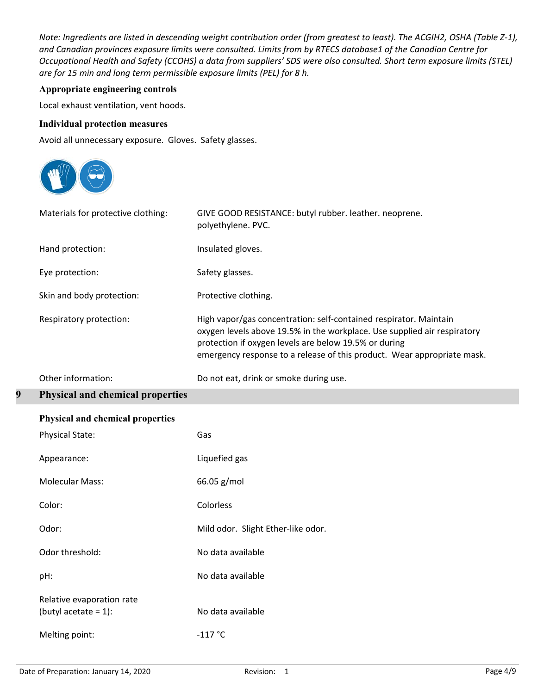*Note: Ingredients are listed in descending weight contribution order (from greatest to least). The ACGIH2, OSHA (Table Z-1), and Canadian provinces exposure limits were consulted. Limits from by RTECS database1 of the Canadian Centre for Occupational Health and Safety (CCOHS) a data from suppliers' SDS were also consulted. Short term exposure limits (STEL) are for 15 min and long term permissible exposure limits (PEL) for 8 h.*

## **Appropriate engineering controls**

Local exhaust ventilation, vent hoods.

#### **Individual protection measures**

Avoid all unnecessary exposure. Gloves. Safety glasses.



|   | Materials for protective clothing:      | GIVE GOOD RESISTANCE: butyl rubber. leather. neoprene.<br>polyethylene. PVC.                                                                                                                                                                                                      |
|---|-----------------------------------------|-----------------------------------------------------------------------------------------------------------------------------------------------------------------------------------------------------------------------------------------------------------------------------------|
|   | Hand protection:                        | Insulated gloves.                                                                                                                                                                                                                                                                 |
|   | Eye protection:                         | Safety glasses.                                                                                                                                                                                                                                                                   |
|   | Skin and body protection:               | Protective clothing.                                                                                                                                                                                                                                                              |
|   | Respiratory protection:                 | High vapor/gas concentration: self-contained respirator. Maintain<br>oxygen levels above 19.5% in the workplace. Use supplied air respiratory<br>protection if oxygen levels are below 19.5% or during<br>emergency response to a release of this product. Wear appropriate mask. |
|   | Other information:                      | Do not eat, drink or smoke during use.                                                                                                                                                                                                                                            |
| 9 | <b>Physical and chemical properties</b> |                                                                                                                                                                                                                                                                                   |
|   | Physical and chemical properties        |                                                                                                                                                                                                                                                                                   |
|   | <b>Physical State:</b>                  | Gas                                                                                                                                                                                                                                                                               |
|   | Appearance:                             | Liquefied gas                                                                                                                                                                                                                                                                     |
|   |                                         |                                                                                                                                                                                                                                                                                   |

| Color:                                               | Colorless                          |
|------------------------------------------------------|------------------------------------|
| Odor:                                                | Mild odor. Slight Ether-like odor. |
| Odor threshold:                                      | No data available                  |
| pH:                                                  | No data available                  |
| Relative evaporation rate<br>(butyl acetate = $1$ ): | No data available                  |
| Melting point:                                       | $-117 °C$                          |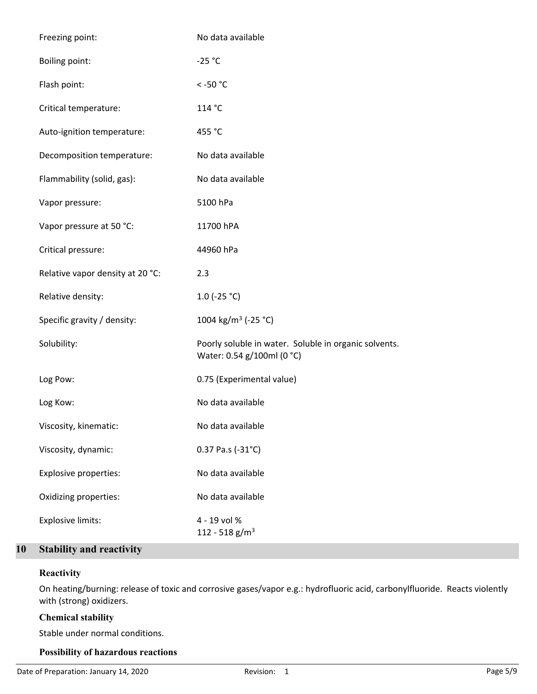| Freezing point:                  | No data available                                                                   |
|----------------------------------|-------------------------------------------------------------------------------------|
| <b>Boiling point:</b>            | $-25 °C$                                                                            |
| Flash point:                     | $<$ -50 $^{\circ}$ C                                                                |
| Critical temperature:            | 114 °C                                                                              |
| Auto-ignition temperature:       | 455 °C                                                                              |
| Decomposition temperature:       | No data available                                                                   |
| Flammability (solid, gas):       | No data available                                                                   |
| Vapor pressure:                  | 5100 hPa                                                                            |
| Vapor pressure at 50 °C:         | 11700 hPA                                                                           |
| Critical pressure:               | 44960 hPa                                                                           |
| Relative vapor density at 20 °C: | 2.3                                                                                 |
| Relative density:                | 1.0 (-25 $^{\circ}$ C)                                                              |
| Specific gravity / density:      | 1004 kg/m <sup>3</sup> (-25 °C)                                                     |
| Solubility:                      | Poorly soluble in water. Soluble in organic solvents.<br>Water: 0.54 g/100ml (0 °C) |
| Log Pow:                         | 0.75 (Experimental value)                                                           |
| Log Kow:                         | No data available                                                                   |
| Viscosity, kinematic:            | No data available                                                                   |
| Viscosity, dynamic:              | 0.37 Pa.s (-31°C)                                                                   |
| <b>Explosive properties:</b>     | No data available                                                                   |
| Oxidizing properties:            | No data available                                                                   |
| Explosive limits:                | 4 - 19 vol %<br>112 - 518 g/m <sup>3</sup>                                          |

# **10 Stability and reactivity**

# **Reactivity**

On heating/burning: release of toxic and corrosive gases/vapor e.g.: hydrofluoric acid, carbonylfluoride. Reacts violently with (strong) oxidizers.

# **Chemical stability**

Stable under normal conditions.

## **Possibility of hazardous reactions**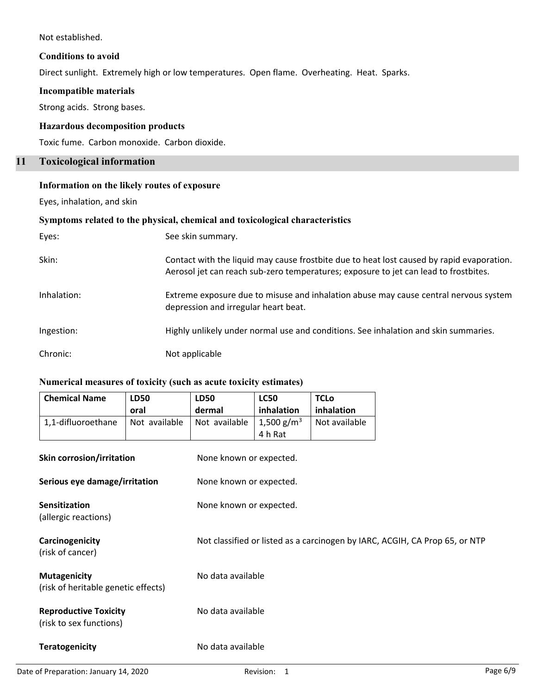Not established.

#### **Conditions to avoid**

Direct sunlight. Extremely high or low temperatures. Open flame. Overheating. Heat. Sparks.

#### **Incompatible materials**

Strong acids. Strong bases.

# **Hazardous decomposition products**

Toxic fume. Carbon monoxide. Carbon dioxide.

# **11 Toxicological information**

# **Information on the likely routes of exposure**

Eyes, inhalation, and skin

#### **Symptoms related to the physical, chemical and toxicological characteristics**

| Eyes:       | See skin summary.                                                                                                                                                                 |
|-------------|-----------------------------------------------------------------------------------------------------------------------------------------------------------------------------------|
| Skin:       | Contact with the liquid may cause frostbite due to heat lost caused by rapid evaporation.<br>Aerosol jet can reach sub-zero temperatures; exposure to jet can lead to frostbites. |
| Inhalation: | Extreme exposure due to misuse and inhalation abuse may cause central nervous system<br>depression and irregular heart beat.                                                      |
| Ingestion:  | Highly unlikely under normal use and conditions. See inhalation and skin summaries.                                                                                               |
| Chronic:    | Not applicable                                                                                                                                                                    |

## **Numerical measures of toxicity (such as acute toxicity estimates)**

| <b>Chemical Name</b>                                       | <b>LD50</b>   | <b>LD50</b>                                                                 | <b>LC50</b>            | <b>TCLo</b>   |  |  |
|------------------------------------------------------------|---------------|-----------------------------------------------------------------------------|------------------------|---------------|--|--|
|                                                            | oral          | dermal                                                                      | inhalation             | inhalation    |  |  |
| 1,1-difluoroethane                                         | Not available | Not available                                                               | 1,500 g/m <sup>3</sup> | Not available |  |  |
|                                                            |               |                                                                             | 4 h Rat                |               |  |  |
| Skin corrosion/irritation                                  |               | None known or expected.                                                     |                        |               |  |  |
| Serious eye damage/irritation                              |               | None known or expected.                                                     |                        |               |  |  |
| <b>Sensitization</b><br>(allergic reactions)               |               | None known or expected.                                                     |                        |               |  |  |
| Carcinogenicity<br>(risk of cancer)                        |               | Not classified or listed as a carcinogen by IARC, ACGIH, CA Prop 65, or NTP |                        |               |  |  |
| <b>Mutagenicity</b><br>(risk of heritable genetic effects) |               | No data available                                                           |                        |               |  |  |
| <b>Reproductive Toxicity</b><br>(risk to sex functions)    |               | No data available                                                           |                        |               |  |  |
| <b>Teratogenicity</b>                                      |               | No data available                                                           |                        |               |  |  |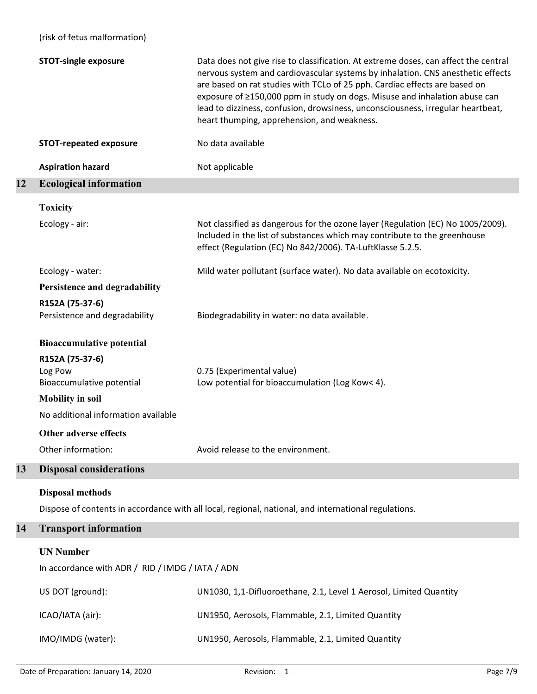|    | (risk of fetus malformation)                                                                                                                                                           |                                                                                                                                                                                                                                                                                                                                                                                                                                                                      |  |  |
|----|----------------------------------------------------------------------------------------------------------------------------------------------------------------------------------------|----------------------------------------------------------------------------------------------------------------------------------------------------------------------------------------------------------------------------------------------------------------------------------------------------------------------------------------------------------------------------------------------------------------------------------------------------------------------|--|--|
|    | <b>STOT-single exposure</b>                                                                                                                                                            | Data does not give rise to classification. At extreme doses, can affect the central<br>nervous system and cardiovascular systems by inhalation. CNS anesthetic effects<br>are based on rat studies with TCLo of 25 pph. Cardiac effects are based on<br>exposure of ≥150,000 ppm in study on dogs. Misuse and inhalation abuse can<br>lead to dizziness, confusion, drowsiness, unconsciousness, irregular heartbeat,<br>heart thumping, apprehension, and weakness. |  |  |
|    | <b>STOT-repeated exposure</b>                                                                                                                                                          | No data available                                                                                                                                                                                                                                                                                                                                                                                                                                                    |  |  |
|    | <b>Aspiration hazard</b>                                                                                                                                                               | Not applicable                                                                                                                                                                                                                                                                                                                                                                                                                                                       |  |  |
| 12 | <b>Ecological information</b>                                                                                                                                                          |                                                                                                                                                                                                                                                                                                                                                                                                                                                                      |  |  |
|    | <b>Toxicity</b>                                                                                                                                                                        |                                                                                                                                                                                                                                                                                                                                                                                                                                                                      |  |  |
|    | Ecology - air:                                                                                                                                                                         | Not classified as dangerous for the ozone layer (Regulation (EC) No 1005/2009).<br>Included in the list of substances which may contribute to the greenhouse<br>effect (Regulation (EC) No 842/2006). TA-LuftKlasse 5.2.5.                                                                                                                                                                                                                                           |  |  |
|    | Ecology - water:                                                                                                                                                                       | Mild water pollutant (surface water). No data available on ecotoxicity.                                                                                                                                                                                                                                                                                                                                                                                              |  |  |
|    | Persistence and degradability                                                                                                                                                          |                                                                                                                                                                                                                                                                                                                                                                                                                                                                      |  |  |
|    | R152A (75-37-6)<br>Persistence and degradability                                                                                                                                       | Biodegradability in water: no data available.                                                                                                                                                                                                                                                                                                                                                                                                                        |  |  |
|    | <b>Bioaccumulative potential</b><br>R152A (75-37-6)<br>Log Pow<br>Bioaccumulative potential<br><b>Mobility in soil</b><br>No additional information available<br>Other adverse effects | 0.75 (Experimental value)<br>Low potential for bioaccumulation (Log Kow< 4).                                                                                                                                                                                                                                                                                                                                                                                         |  |  |
|    | Other information:                                                                                                                                                                     | Avoid release to the environment.                                                                                                                                                                                                                                                                                                                                                                                                                                    |  |  |
| 13 | <b>Disposal considerations</b>                                                                                                                                                         |                                                                                                                                                                                                                                                                                                                                                                                                                                                                      |  |  |
|    | <b>Disposal methods</b>                                                                                                                                                                | Dispose of contents in accordance with all local, regional, national, and international regulations.                                                                                                                                                                                                                                                                                                                                                                 |  |  |
| 14 | <b>Transport information</b><br><b>UN Number</b><br>In accordance with ADR / RID / IMDG / IATA / ADN                                                                                   |                                                                                                                                                                                                                                                                                                                                                                                                                                                                      |  |  |
|    |                                                                                                                                                                                        |                                                                                                                                                                                                                                                                                                                                                                                                                                                                      |  |  |
|    | US DOT (ground):                                                                                                                                                                       | UN1030, 1,1-Difluoroethane, 2.1, Level 1 Aerosol, Limited Quantity                                                                                                                                                                                                                                                                                                                                                                                                   |  |  |
|    | ICAO/IATA (air):                                                                                                                                                                       | UN1950, Aerosols, Flammable, 2.1, Limited Quantity                                                                                                                                                                                                                                                                                                                                                                                                                   |  |  |
|    | IMO/IMDG (water):                                                                                                                                                                      | UN1950, Aerosols, Flammable, 2.1, Limited Quantity                                                                                                                                                                                                                                                                                                                                                                                                                   |  |  |
|    |                                                                                                                                                                                        |                                                                                                                                                                                                                                                                                                                                                                                                                                                                      |  |  |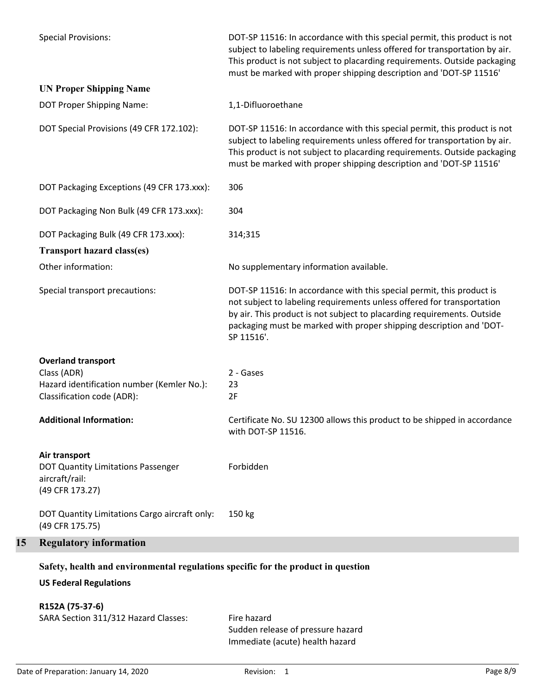|    | Safety, health and environmental regulations specific for the product in question<br><b>US Federal Regulations</b>   |                                                                                                                                                                                                                                                                                                                 |
|----|----------------------------------------------------------------------------------------------------------------------|-----------------------------------------------------------------------------------------------------------------------------------------------------------------------------------------------------------------------------------------------------------------------------------------------------------------|
| 15 | <b>Regulatory information</b>                                                                                        |                                                                                                                                                                                                                                                                                                                 |
|    | DOT Quantity Limitations Cargo aircraft only:<br>(49 CFR 175.75)                                                     | 150 kg                                                                                                                                                                                                                                                                                                          |
|    | Air transport<br>DOT Quantity Limitations Passenger<br>aircraft/rail:<br>(49 CFR 173.27)                             | Forbidden                                                                                                                                                                                                                                                                                                       |
|    | <b>Additional Information:</b>                                                                                       | Certificate No. SU 12300 allows this product to be shipped in accordance<br>with DOT-SP 11516.                                                                                                                                                                                                                  |
|    | <b>Overland transport</b><br>Class (ADR)<br>Hazard identification number (Kemler No.):<br>Classification code (ADR): | 2 - Gases<br>23<br>2F                                                                                                                                                                                                                                                                                           |
|    | Special transport precautions:                                                                                       | DOT-SP 11516: In accordance with this special permit, this product is<br>not subject to labeling requirements unless offered for transportation<br>by air. This product is not subject to placarding requirements. Outside<br>packaging must be marked with proper shipping description and 'DOT-<br>SP 11516'. |
|    | <b>Transport hazard class(es)</b><br>Other information:                                                              | No supplementary information available.                                                                                                                                                                                                                                                                         |
|    | DOT Packaging Bulk (49 CFR 173.xxx):                                                                                 | 314;315                                                                                                                                                                                                                                                                                                         |
|    | DOT Packaging Non Bulk (49 CFR 173.xxx):                                                                             | 304                                                                                                                                                                                                                                                                                                             |
|    | DOT Packaging Exceptions (49 CFR 173.xxx):                                                                           | 306                                                                                                                                                                                                                                                                                                             |
|    | DOT Special Provisions (49 CFR 172.102):                                                                             | DOT-SP 11516: In accordance with this special permit, this product is not<br>subject to labeling requirements unless offered for transportation by air.<br>This product is not subject to placarding requirements. Outside packaging<br>must be marked with proper shipping description and 'DOT-SP 11516'      |
|    | <b>UN Proper Shipping Name</b><br>DOT Proper Shipping Name:                                                          | 1,1-Difluoroethane                                                                                                                                                                                                                                                                                              |
|    | <b>Special Provisions:</b>                                                                                           | DOT-SP 11516: In accordance with this special permit, this product is not<br>subject to labeling requirements unless offered for transportation by air.<br>This product is not subject to placarding requirements. Outside packaging<br>must be marked with proper shipping description and 'DOT-SP 11516'      |

**R152A (75-37-6)**

SARA Section 311/312 Hazard Classes: Fire hazard

Sudden release of pressure hazard Immediate (acute) health hazard